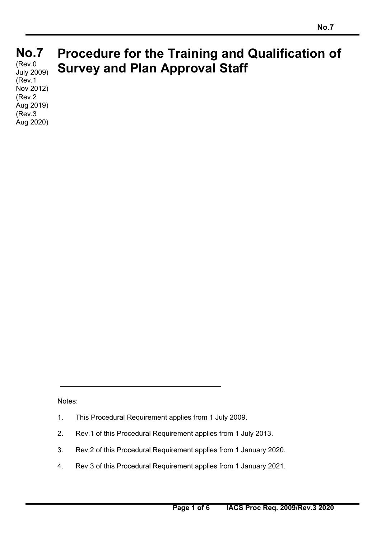#### **No.7 No.7**   $(Rev.0)$ **Procedure for the Training and Qualification of Survey and Plan Approval Staff**  July 2009)

(Rev.1 Nov 2012) (Rev.2 Aug 2019) (Rev.3 Aug 2020)

Notes:

 $\overline{a}$ 

- 1. This Procedural Requirement applies from 1 July 2009.
- 2. Rev.1 of this Procedural Requirement applies from 1 July 2013.
- 3. Rev.2 of this Procedural Requirement applies from 1 January 2020.
- 4. Rev.3 of this Procedural Requirement applies from 1 January 2021.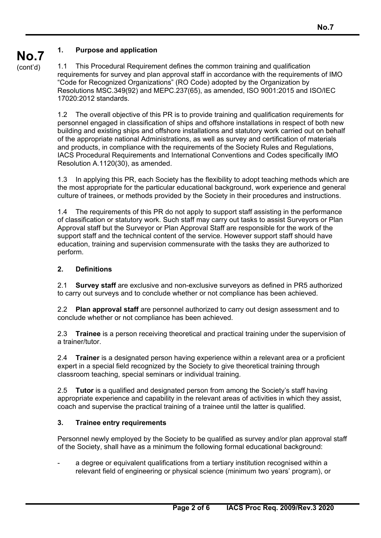# **1. Purpose and application**

**No.7**  (cont'd)

1.1 This Procedural Requirement defines the common training and qualification requirements for survey and plan approval staff in accordance with the requirements of IMO "Code for Recognized Organizations" (RO Code) adopted by the Organization by Resolutions MSC.349(92) and MEPC.237(65), as amended, ISO 9001:2015 and ISO/IEC 17020:2012 standards.

1.2 The overall objective of this PR is to provide training and qualification requirements for personnel engaged in classification of ships and offshore installations in respect of both new building and existing ships and offshore installations and statutory work carried out on behalf of the appropriate national Administrations, as well as survey and certification of materials and products, in compliance with the requirements of the Society Rules and Regulations, IACS Procedural Requirements and International Conventions and Codes specifically IMO Resolution A.1120(30), as amended.

1.3 In applying this PR, each Society has the flexibility to adopt teaching methods which are the most appropriate for the particular educational background, work experience and general culture of trainees, or methods provided by the Society in their procedures and instructions.

1.4 The requirements of this PR do not apply to support staff assisting in the performance of classification or statutory work. Such staff may carry out tasks to assist Surveyors or Plan Approval staff but the Surveyor or Plan Approval Staff are responsible for the work of the support staff and the technical content of the service. However support staff should have education, training and supervision commensurate with the tasks they are authorized to perform.

# **2. Definitions**

2.1 **Survey staff** are exclusive and non-exclusive surveyors as defined in PR5 authorized to carry out surveys and to conclude whether or not compliance has been achieved.

2.2 **Plan approval staff** are personnel authorized to carry out design assessment and to conclude whether or not compliance has been achieved.

2.3 **Trainee** is a person receiving theoretical and practical training under the supervision of a trainer/tutor.

2.4 **Trainer** is a designated person having experience within a relevant area or a proficient expert in a special field recognized by the Society to give theoretical training through classroom teaching, special seminars or individual training.

2.5 **Tutor** is a qualified and designated person from among the Society's staff having appropriate experience and capability in the relevant areas of activities in which they assist, coach and supervise the practical training of a trainee until the latter is qualified.

# **3. Trainee entry requirements**

 $\overline{a}$ 

Personnel newly employed by the Society to be qualified as survey and/or plan approval staff of the Society, shall have as a minimum the following formal educational background:

a degree or equivalent qualifications from a tertiary institution recognised within a relevant field of engineering or physical science (minimum two years' program), or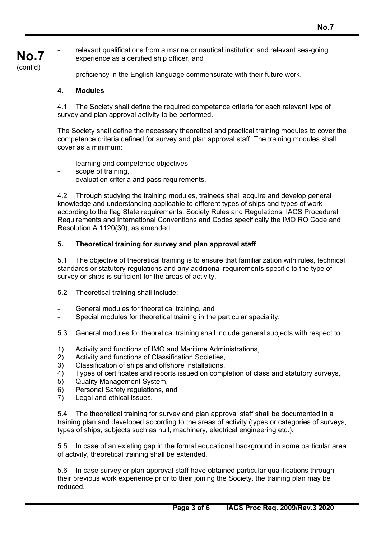#### **No.7**  relevant qualifications from a marine or nautical institution and relevant sea-going experience as a certified ship officer, and

- proficiency in the English language commensurate with their future work.

### **4. Modules**

(cont'd)

4.1 The Society shall define the required competence criteria for each relevant type of survey and plan approval activity to be performed.

The Society shall define the necessary theoretical and practical training modules to cover the competence criteria defined for survey and plan approval staff. The training modules shall cover as a minimum:

- learning and competence objectives,
- scope of training,
- evaluation criteria and pass requirements.

4.2 Through studying the training modules, trainees shall acquire and develop general knowledge and understanding applicable to different types of ships and types of work according to the flag State requirements, Society Rules and Regulations, IACS Procedural Requirements and International Conventions and Codes specifically the IMO RO Code and Resolution A.1120(30), as amended.

# **5. Theoretical training for survey and plan approval staff**

5.1 The objective of theoretical training is to ensure that familiarization with rules, technical standards or statutory regulations and any additional requirements specific to the type of survey or ships is sufficient for the areas of activity.

- 5.2 Theoretical training shall include:
- General modules for theoretical training, and
- Special modules for theoretical training in the particular speciality.
- 5.3 General modules for theoretical training shall include general subjects with respect to:
- 1) Activity and functions of IMO and Maritime Administrations,
- 2) Activity and functions of Classification Societies,
- 3) Classification of ships and offshore installations,
- 4) Types of certificates and reports issued on completion of class and statutory surveys,
- 5) Quality Management System,
- 6) Personal Safety regulations, and<br>7) Legal and ethical issues.
- Legal and ethical issues.

 $\overline{a}$ 

5.4 The theoretical training for survey and plan approval staff shall be documented in a training plan and developed according to the areas of activity (types or categories of surveys, types of ships, subjects such as hull, machinery, electrical engineering etc.).

5.5 In case of an existing gap in the formal educational background in some particular area of activity, theoretical training shall be extended.

5.6 In case survey or plan approval staff have obtained particular qualifications through their previous work experience prior to their joining the Society, the training plan may be reduced.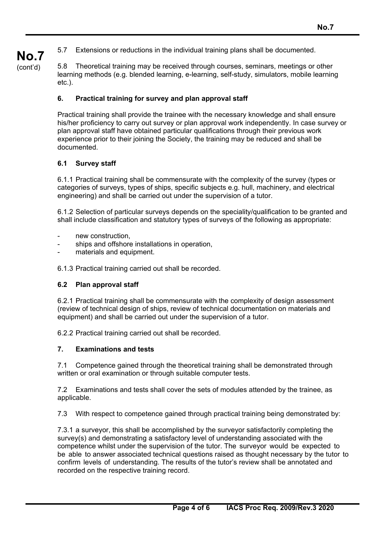5.7 Extensions or reductions in the individual training plans shall be documented.

**No.7**  (cont'd)

5.8 Theoretical training may be received through courses, seminars, meetings or other learning methods (e.g. blended learning, e-learning, self-study, simulators, mobile learning etc.).

### **6. Practical training for survey and plan approval staff**

Practical training shall provide the trainee with the necessary knowledge and shall ensure his/her proficiency to carry out survey or plan approval work independently. In case survey or plan approval staff have obtained particular qualifications through their previous work experience prior to their joining the Society, the training may be reduced and shall be documented.

#### **6.1 Survey staff**

6.1.1 Practical training shall be commensurate with the complexity of the survey (types or categories of surveys, types of ships, specific subjects e.g. hull, machinery, and electrical engineering) and shall be carried out under the supervision of a tutor.

6.1.2 Selection of particular surveys depends on the speciality/qualification to be granted and shall include classification and statutory types of surveys of the following as appropriate:

- new construction.
- ships and offshore installations in operation,
- materials and equipment.

6.1.3 Practical training carried out shall be recorded.

#### **6.2 Plan approval staff**

6.2.1 Practical training shall be commensurate with the complexity of design assessment (review of technical design of ships, review of technical documentation on materials and equipment) and shall be carried out under the supervision of a tutor.

6.2.2 Practical training carried out shall be recorded.

#### **7. Examinations and tests**

 $\overline{a}$ 

7.1 Competence gained through the theoretical training shall be demonstrated through written or oral examination or through suitable computer tests.

7.2 Examinations and tests shall cover the sets of modules attended by the trainee, as applicable.

7.3 With respect to competence gained through practical training being demonstrated by:

7.3.1 a surveyor, this shall be accomplished by the surveyor satisfactorily completing the survey(s) and demonstrating a satisfactory level of understanding associated with the competence whilst under the supervision of the tutor. The surveyor would be expected to be able to answer associated technical questions raised as thought necessary by the tutor to confirm levels of understanding. The results of the tutor's review shall be annotated and recorded on the respective training record.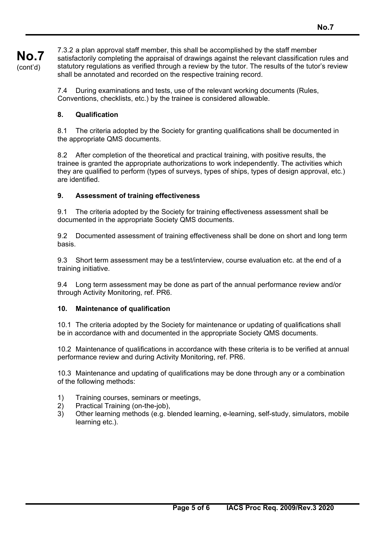7.3.2 a plan approval staff member, this shall be accomplished by the staff member satisfactorily completing the appraisal of drawings against the relevant classification rules and statutory regulations as verified through a review by the tutor. The results of the tutor's review shall be annotated and recorded on the respective training record.

7.4 During examinations and tests, use of the relevant working documents (Rules, Conventions, checklists, etc.) by the trainee is considered allowable.

### **8. Qualification**

**No.7**  (cont'd)

> 8.1 The criteria adopted by the Society for granting qualifications shall be documented in the appropriate QMS documents.

8.2 After completion of the theoretical and practical training, with positive results, the trainee is granted the appropriate authorizations to work independently. The activities which they are qualified to perform (types of surveys, types of ships, types of design approval, etc.) are identified.

# **9. Assessment of training effectiveness**

9.1 The criteria adopted by the Society for training effectiveness assessment shall be documented in the appropriate Society QMS documents.

9.2 Documented assessment of training effectiveness shall be done on short and long term basis.

9.3 Short term assessment may be a test/interview, course evaluation etc. at the end of a training initiative.

9.4 Long term assessment may be done as part of the annual performance review and/or through Activity Monitoring, ref. PR6.

#### **10. Maintenance of qualification**

10.1 The criteria adopted by the Society for maintenance or updating of qualifications shall be in accordance with and documented in the appropriate Society QMS documents.

10.2 Maintenance of qualifications in accordance with these criteria is to be verified at annual performance review and during Activity Monitoring, ref. PR6.

10.3 Maintenance and updating of qualifications may be done through any or a combination of the following methods:

- 1) Training courses, seminars or meetings,
- 2) Practical Training (on-the-job),

 $\overline{a}$ 

3) Other learning methods (e.g. blended learning, e-learning, self-study, simulators, mobile learning etc.).